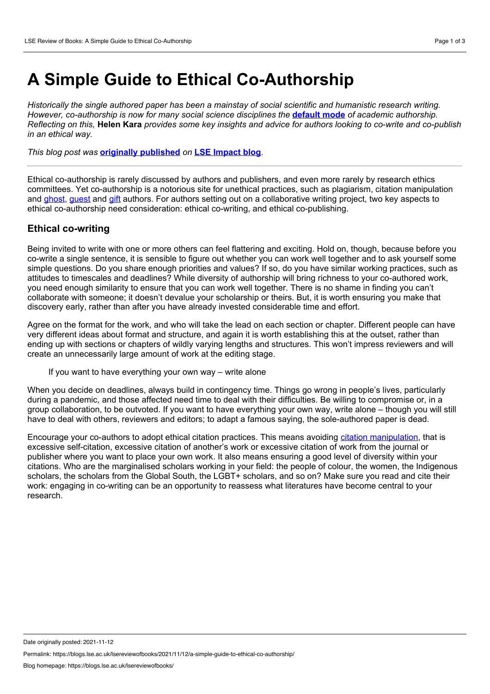## **A Simple Guide to Ethical Co-Authorship**

*Historically the single authored paper has been a mainstay of social scientific and humanistic research writing. However, co-authorship is now for many social science disciplines the* **[default](https://blogs.lse.ac.uk/impactofsocialsciences/2018/04/04/the-proportion-of-co-authored-research-articles-has-risen-markedly-in-recent-decades/) mode** *of academic authorship.* Reflecting on this. Helen Kara provides some key insights and advice for authors looking to co-write and co-publish *in an ethical way.*

*This blog post was* **originally [published](https://blogs.lse.ac.uk/impactofsocialsciences/2021/03/29/a-simple-guide-to-ethical-co-authorship/)** *on* **LSE [Impact](https://blogs.lse.ac.uk/impactofsocialsciences/) blog***.*

Ethical co-authorship is rarely discussed by authors and publishers, and even more rarely by research ethics committees. Yet co-authorship is a notorious site for unethical practices, such as plagiarism, citation manipulation and [ghost,](https://en.wikipedia.org/wiki/Academic_authorship#Ghost_authorship) [guest](https://en.wikipedia.org/wiki/Academic_authorship#Gift,_Guest_and_Rolling_Authorship) and [gift](https://en.wikipedia.org/wiki/Academic_authorship#Gift,_Guest_and_Rolling_Authorship) authors. For authors setting out on a collaborative writing project, two key aspects to ethical co-authorship need consideration: ethical co-writing, and ethical co-publishing.

## **Ethical co-writing**

Being invited to write with one or more others can feel flattering and exciting. Hold on, though, because before you co-write a single sentence, it is sensible to figure out whether you can work well together and to ask yourself some simple questions. Do you share enough priorities and values? If so, do you have similar working practices, such as attitudes to timescales and deadlines? While diversity of authorship will bring richness to your co-authored work, you need enough similarity to ensure that you can work well together. There is no shame in finding you can't collaborate with someone; it doesn't devalue your scholarship or theirs. But, it is worth ensuring you make that discovery early, rather than after you have already invested considerable time and effort.

Agree on the format for the work, and who will take the lead on each section or chapter. Different people can have very different ideas about format and structure, and again it is worth establishing this at the outset, rather than ending up with sections or chapters of wildly varying lengths and structures. This won't impress reviewers and will create an unnecessarily large amount of work at the editing stage.

If you want to have everything your own way – write alone

When you decide on deadlines, always build in contingency time. Things go wrong in people's lives, particularly during a pandemic, and those affected need time to deal with their difficulties. Be willing to compromise or, in a group collaboration, to be outvoted. If you want to have everything your own way, write alone – though you will still have to deal with others, reviewers and editors; to adapt a famous saying, the sole-authored paper is dead.

Encourage your co-authors to adopt ethical citation practices. This means avoiding citation [manipulation,](https://publicationethics.org/citation-manipulation-discussion-document) that is excessive self-citation, excessive citation of another's work or excessive citation of work from the journal or publisher where you want to place your own work. It also means ensuring a good level of diversity within your citations. Who are the marginalised scholars working in your field: the people of colour, the women, the Indigenous scholars, the scholars from the Global South, the LGBT+ scholars, and so on? Make sure you read and cite their work: engaging in co-writing can be an opportunity to reassess what literatures have become central to your research.

Permalink: https://blogs.lse.ac.uk/lsereviewofbooks/2021/11/12/a-simple-guide-to-ethical-co-authorship/

Date originally posted: 2021-11-12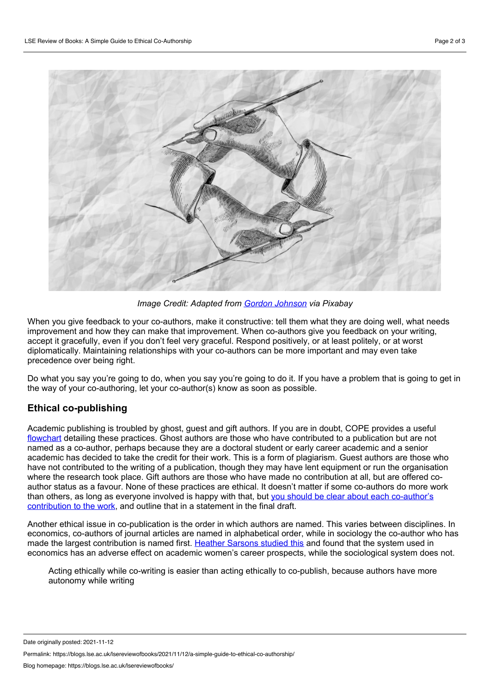

*Image Credit: Adapted from Gordon [Johnson](https://pixabay.com/vectors/hand-draw-write-line-art-drawing-5697758/) via Pixabay*

When you give feedback to your co-authors, make it constructive: tell them what they are doing well, what needs improvement and how they can make that improvement. When co-authors give you feedback on your writing, accept it gracefully, even if you don't feel very graceful. Respond positively, or at least politely, or at worst diplomatically. Maintaining relationships with your co-authors can be more important and may even take precedence over being right.

Do what you say you're going to do, when you say you're going to do it. If you have a problem that is going to get in the way of your co-authoring, let your co-author(s) know as soon as possible.

## **Ethical co-publishing**

Academic publishing is troubled by ghost, guest and gift authors. If you are in doubt, COPE provides a useful [flowchart](https://publicationethics.org/files/Ghost.pdf) detailing these practices. Ghost authors are those who have contributed to a publication but are not named as a co-author, perhaps because they are a doctoral student or early career academic and a senior academic has decided to take the credit for their work. This is a form of plagiarism. Guest authors are those who have not contributed to the writing of a publication, though they may have lent equipment or run the organisation where the research took place. Gift authors are those who have made no contribution at all, but are offered co author status as a favour. None of these practices are ethical. It doesn't matter if some co-authors do more work than others, as long as everyone involved is happy with that, but you should be clear about each co-author's [contribution](https://blogs.lse.ac.uk/impactofsocialsciences/2020/01/20/credit-check-should-we-welcome-tools-to-differentiate-the-contributions-made-to-academic-papers/) to the work, and outline that in a statement in the final draft.

Another ethical issue in co-publication is the order in which authors are named. This varies between disciplines. In economics, co-authors of journal articles are named in alphabetical order, while in sociology the co-author who has made the largest contribution is named first. Heather [Sarsons](https://www.aeaweb.org/articles?id=10.1257/aer.p20171126) studied this and found that the system used in economics has an adverse effect on academic women's career prospects, while the sociological system does not.

Acting ethically while co-writing is easier than acting ethically to co-publish, because authors have more autonomy while writing

Date originally posted: 2021-11-12

Permalink: https://blogs.lse.ac.uk/lsereviewofbooks/2021/11/12/a-simple-guide-to-ethical-co-authorship/